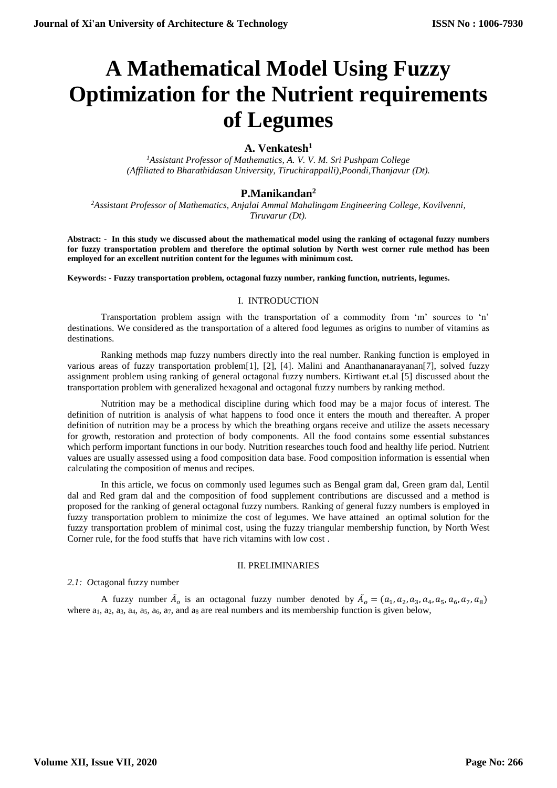# **A Mathematical Model Using Fuzzy Optimization for the Nutrient requirements of Legumes**

# **A. Venkatesh<sup>1</sup>**

*<sup>1</sup>Assistant Professor of Mathematics, A. V. V. M. Sri Pushpam College (Affiliated to Bharathidasan University, Tiruchirappalli),Poondi,Thanjavur (Dt).* 

# **P.Manikandan<sup>2</sup>**

*<sup>2</sup>Assistant Professor of Mathematics, Anjalai Ammal Mahalingam Engineering College, Kovilvenni, Tiruvarur (Dt).* 

**Abstract: - In this study we discussed about the mathematical model using the ranking of octagonal fuzzy numbers for fuzzy transportation problem and therefore the optimal solution by North west corner rule method has been employed for an excellent nutrition content for the legumes with minimum cost.**

**Keywords: - Fuzzy transportation problem, octagonal fuzzy number, ranking function, nutrients, legumes.**

#### I. INTRODUCTION

Transportation problem assign with the transportation of a commodity from 'm' sources to 'n' destinations. We considered as the transportation of a altered food legumes as origins to number of vitamins as destinations.

Ranking methods map fuzzy numbers directly into the real number. Ranking function is employed in various areas of fuzzy transportation problem[1], [2], [4]. Malini and Ananthananarayanan[7], solved fuzzy assignment problem using ranking of general octagonal fuzzy numbers. Kirtiwant et.al [5] discussed about the transportation problem with generalized hexagonal and octagonal fuzzy numbers by ranking method.

Nutrition may be a methodical discipline during which food may be a major focus of interest. The definition of nutrition is analysis of what happens to food once it enters the mouth and thereafter. A proper definition of nutrition may be a process by which the breathing organs receive and utilize the assets necessary for growth, restoration and protection of body components. All the food contains some essential substances which perform important functions in our body. Nutrition researches touch food and healthy life period. Nutrient values are usually assessed using a food composition data base. Food composition information is essential when calculating the composition of menus and recipes.

In this article, we focus on commonly used legumes such as Bengal gram dal, Green gram dal, Lentil dal and Red gram dal and the composition of food supplement contributions are discussed and a method is proposed for the ranking of general octagonal fuzzy numbers. Ranking of general fuzzy numbers is employed in fuzzy transportation problem to minimize the cost of legumes. We have attained an optimal solution for the fuzzy transportation problem of minimal cost, using the fuzzy triangular membership function, by North West Corner rule, for the food stuffs that have rich vitamins with low cost .

### II. PRELIMINARIES

*2.1: O*ctagonal fuzzy number

A fuzzy number  $\tilde{A}_o$  is an octagonal fuzzy number denoted by  $\tilde{A}_o = (a_1, a_2, a_3, a_4, a_5, a_6, a_7, a_8)$ where  $a_1$ ,  $a_2$ ,  $a_3$ ,  $a_4$ ,  $a_5$ ,  $a_6$ ,  $a_7$ , and  $a_8$  are real numbers and its membership function is given below,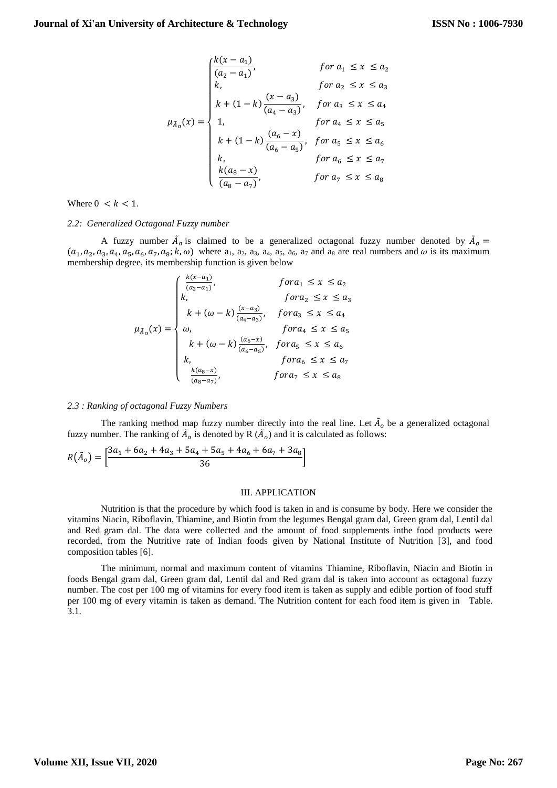$$
\mu_{\bar{A}_0}(x) = \begin{cases}\n\frac{k(x - a_1)}{(a_2 - a_1)}, & \text{for } a_1 \le x \le a_2 \\
k, & \text{for } a_2 \le x \le a_3 \\
k + (1 - k) \frac{(x - a_3)}{(a_4 - a_3)}, & \text{for } a_3 \le x \le a_4 \\
1, & \text{for } a_4 \le x \le a_5 \\
k + (1 - k) \frac{(a_6 - x)}{(a_6 - a_5)}, & \text{for } a_5 \le x \le a_6 \\
k, & \text{for } a_6 \le x \le a_7 \\
\frac{k(a_8 - x)}{(a_8 - a_7)}, & \text{for } a_7 \le x \le a_8\n\end{cases}
$$

Where  $0 \leq k \leq 1$ .

#### *2.2: Generalized Octagonal Fuzzy number*

A fuzzy number  $\tilde{A}_o$  is claimed to be a generalized octagonal fuzzy number denoted by  $\tilde{A}_o$  =  $(a_1, a_2, a_3, a_4, a_5, a_6, a_7, a_8; k, \omega)$  where  $a_1, a_2, a_3, a_4, a_5, a_6, a_7$  and  $a_8$  are real numbers and  $\omega$  is its maximum membership degree, its membership function is given below

$$
\mu_{\tilde{A}_0}(x) = \begin{cases}\n\frac{k(x-a_1)}{(a_2-a_1)}, & \text{for } a_1 \le x \le a_2 \\
k, & \text{for } a_2 \le x \le a_3 \\
k + (\omega - k) \frac{(x-a_3)}{(a_4-a_3)}, & \text{for } a_3 \le x \le a_4 \\
\omega, & \text{for } a_4 \le x \le a_5 \\
k + (\omega - k) \frac{(a_6-x)}{(a_6-a_5)}, & \text{for } a_5 \le x \le a_6 \\
k, & \text{for } a_6 \le x \le a_7 \\
\frac{k(a_8-x)}{(a_8-a_7)}, & \text{for } a_7 \le x \le a_8\n\end{cases}
$$

#### *2.3 : Ranking of octagonal Fuzzy Numbers*

The ranking method map fuzzy number directly into the real line. Let  $\tilde{A}_o$  be a generalized octagonal fuzzy number. The ranking of  $\tilde{A}_o$  is denoted by R  $(\tilde{A}_o)$  and it is calculated as follows:

$$
R(\tilde{A}_o) = \left[ \frac{3a_1 + 6a_2 + 4a_3 + 5a_4 + 5a_5 + 4a_6 + 6a_7 + 3a_8}{36} \right]
$$

#### III. APPLICATION

Nutrition is that the procedure by which food is taken in and is consume by body. Here we consider the vitamins Niacin, Riboflavin, Thiamine, and Biotin from the legumes Bengal gram dal, Green gram dal, Lentil dal and Red gram dal. The data were collected and the amount of food supplements inthe food products were recorded, from the Nutritive rate of Indian foods given by National Institute of Nutrition [3], and food composition tables [6].

The minimum, normal and maximum content of vitamins Thiamine, Riboflavin, Niacin and Biotin in foods Bengal gram dal, Green gram dal, Lentil dal and Red gram dal is taken into account as octagonal fuzzy number. The cost per 100 mg of vitamins for every food item is taken as supply and edible portion of food stuff per 100 mg of every vitamin is taken as demand. The Nutrition content for each food item is given in Table. 3.1.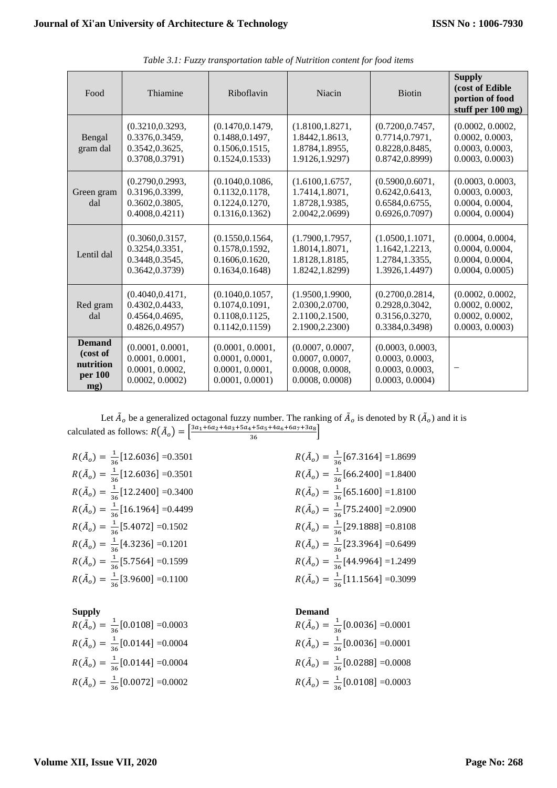| Food                                                     | Thiamine                                                                 | Riboflavin                                                                | Niacin                                                                    | <b>Biotin</b>                                                             | <b>Supply</b><br>(cost of Edible<br>portion of food<br>stuff per 100 mg)  |
|----------------------------------------------------------|--------------------------------------------------------------------------|---------------------------------------------------------------------------|---------------------------------------------------------------------------|---------------------------------------------------------------------------|---------------------------------------------------------------------------|
| Bengal<br>gram dal                                       | (0.3210, 0.3293,<br>0.3376,0.3459,<br>0.3542,0.3625,<br>0.3708,0.3791)   | (0.1470, 0.1479,<br>0.1488, 0.1497,<br>0.1506,0.1515,<br>0.1524, 0.1533   | (1.8100, 1.8271,<br>1.8442, 1.8613,<br>1.8784, 1.8955,<br>1.9126, 1.9297) | (0.7200, 0.7457,<br>0.7714,0.7971,<br>0.8228, 0.8485,<br>0.8742, 0.8999   | (0.0002, 0.0002,<br>0.0002, 0.0003,<br>0.0003, 0.0003,<br>0.0003, 0.0003  |
| Green gram<br>dal                                        | (0.2790, 0.2993,<br>0.3196,0.3399,<br>0.3602,0.3805,<br>0.4008, 0.4211)  | (0.1040, 0.1086,<br>0.1132,0.1178,<br>0.1224,0.1270,<br>0.1316, 0.1362    | (1.6100, 1.6757,<br>1.7414,1.8071,<br>1.8728, 1.9385,<br>2.0042,2.0699)   | (0.5900, 0.6071,<br>0.6242, 0.6413,<br>0.6584,0.6755,<br>0.6926, 0.7097   | (0.0003, 0.0003,<br>0.0003, 0.0003,<br>0.0004, 0.0004,<br>0.0004, 0.0004) |
| Lentil dal                                               | (0.3060, 0.3157,<br>0.3254,0.3351,<br>0.3448, 0.3545,<br>0.3642, 0.3739  | (0.1550, 0.1564,<br>0.1578, 0.1592,<br>0.1606, 0.1620,<br>0.1634, 0.1648  | (1.7900, 1.7957,<br>1.8014, 1.8071,<br>1.8128, 1.8185,<br>1.8242, 1.8299) | (1.0500, 1.1071,<br>1.1642, 1.2213,<br>1.2784, 1.3355,<br>1.3926, 1.4497) | (0.0004, 0.0004,<br>0.0004, 0.0004,<br>0.0004, 0.0004,<br>0.0004, 0.0005  |
| Red gram<br>dal                                          | (0.4040, 0.4171,<br>0.4302,0.4433,<br>0.4564,0.4695,<br>0.4826, 0.4957   | (0.1040, 0.1057,<br>0.1074,0.1091,<br>0.1108,0.1125,<br>0.1142, 0.1159    | (1.9500, 1.9900,<br>2.0300, 2.0700,<br>2.1100,2.1500,<br>2.1900, 2.2300)  | (0.2700, 0.2814,<br>0.2928, 0.3042,<br>0.3156,0.3270,<br>0.3384,0.3498)   | (0.0002, 0.0002,<br>0.0002, 0.0002,<br>0.0002, 0.0002,<br>0.0003, 0.0003  |
| <b>Demand</b><br>(cost of<br>nutrition<br>per 100<br>mg) | (0.0001, 0.0001,<br>0.0001, 0.0001,<br>0.0001, 0.0002,<br>0.0002, 0.0002 | (0.0001, 0.0001,<br>0.0001, 0.0001,<br>0.0001, 0.0001,<br>0.0001, 0.0001) | (0.0007, 0.0007,<br>0.0007, 0.0007,<br>0.0008, 0.0008,<br>0.0008, 0.0008  | (0.0003, 0.0003,<br>0.0003, 0.0003,<br>0.0003, 0.0003,<br>0.0003, 0.0004  | -                                                                         |

*Table 3.1: Fuzzy transportation table of Nutrition content for food items*

Let  $\tilde{A}_o$  be a generalized octagonal fuzzy number. The ranking of  $\tilde{A}_o$  is denoted by R  $(\tilde{A}_o)$  and it is calculated as follows:  $R(\tilde{A}_o) = \left[\frac{3a_1 + 6a_2 + 4a_3 + 5a_4 + 5a_5 + 4a_6 + 6a_7 + 3a_8}{36}\right]$ 

 $R(\tilde{A}_o) = \frac{1}{34}$  $\frac{1}{36}$ [12.6036] =0.3501  $R(\tilde{A})$  $R(\tilde{A}_o) = \frac{1}{36}$  $\frac{1}{36}$ [12.6036] =0.3501  $R(\tilde{A})$  $R(\tilde{A}_o) = \frac{1}{36}$  $\frac{1}{36}$ [12.2400] = 0.3400  $R(\tilde{A})$  $R(\tilde{A}_o) = \frac{1}{34}$  $\frac{1}{36}$ [16.1964] =0.4499  $R(\tilde{A})$  $R(\tilde{A}_o) = \frac{1}{34}$  $\frac{1}{36}$ [5.4072] =0.1502  $R(\tilde{A})$  $R(\tilde{A}_o) = \frac{1}{36}$  $\frac{1}{36}$ [4.3236] =0.1201  $R(\tilde{A})$  $R(\tilde{A}_o) = \frac{1}{36}$  $\frac{1}{36}$ [5.7564] =0.1599  $R(\tilde{A})$  $R(\tilde{A}_o) = \frac{1}{36}$  $\frac{1}{36}$ [3.9600] =0.1100  $R(\tilde{A})$ 

**Supply Demand**  $R(\tilde{A}_o) = \frac{1}{36}$  $\frac{1}{36}$ [0.0108] =0.0003  $R(\tilde{A})$  $R(\tilde{A}_o) = \frac{1}{34}$  $\frac{1}{36}$ [0.0144] =0.0004  $R(\tilde{A})$  $R(\tilde{A}_o) = \frac{1}{34}$  $\frac{1}{36}$ [0.0144] =0.0004  $R(\tilde{A})$  $R(\tilde{A}_o) = \frac{1}{36}$  $\frac{1}{36}$ [0.0072] =0.0002  $R(\tilde{A})$ 

$$
R(\tilde{A}_o) = \frac{1}{36} [67.3164] = 1.8699
$$
  
\n
$$
R(\tilde{A}_o) = \frac{1}{36} [66.2400] = 1.8400
$$
  
\n
$$
R(\tilde{A}_o) = \frac{1}{36} [65.1600] = 1.8100
$$
  
\n
$$
R(\tilde{A}_o) = \frac{1}{36} [75.2400] = 2.0900
$$
  
\n
$$
R(\tilde{A}_o) = \frac{1}{36} [29.1888] = 0.8108
$$
  
\n
$$
R(\tilde{A}_o) = \frac{1}{36} [23.3964] = 0.6499
$$
  
\n
$$
R(\tilde{A}_o) = \frac{1}{36} [44.9964] = 1.2499
$$
  
\n
$$
R(\tilde{A}_o) = \frac{1}{36} [11.1564] = 0.3099
$$

$$
R(\tilde{A}_o) = \frac{1}{36} [0.0036] = 0.0001
$$
  
\n
$$
R(\tilde{A}_o) = \frac{1}{36} [0.0036] = 0.0001
$$
  
\n
$$
R(\tilde{A}_o) = \frac{1}{36} [0.0288] = 0.0008
$$
  
\n
$$
R(\tilde{A}_o) = \frac{1}{36} [0.0108] = 0.0003
$$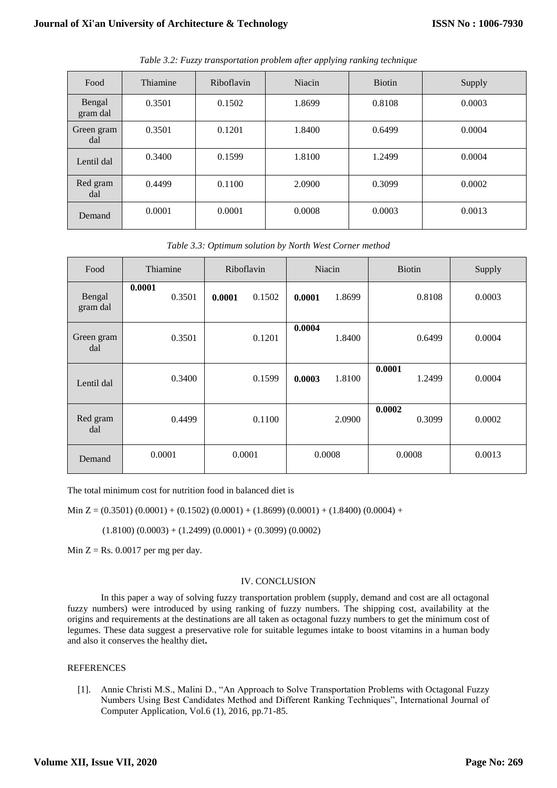| Food               | Thiamine | Riboflavin | Niacin | <b>Biotin</b> | Supply |
|--------------------|----------|------------|--------|---------------|--------|
| Bengal<br>gram dal | 0.3501   | 0.1502     | 1.8699 | 0.8108        | 0.0003 |
| Green gram<br>dal  | 0.3501   | 0.1201     | 1.8400 | 0.6499        | 0.0004 |
| Lentil dal         | 0.3400   | 0.1599     | 1.8100 | 1.2499        | 0.0004 |
| Red gram<br>dal    | 0.4499   | 0.1100     | 2.0900 | 0.3099        | 0.0002 |
| Demand             | 0.0001   | 0.0001     | 0.0008 | 0.0003        | 0.0013 |

*Table 3.2: Fuzzy transportation problem after applying ranking technique*

*Table 3.3: Optimum solution by North West Corner method*

| Food               | Thiamine         | Riboflavin       | Niacin           | <b>Biotin</b>    | Supply |
|--------------------|------------------|------------------|------------------|------------------|--------|
| Bengal<br>gram dal | 0.0001<br>0.3501 | 0.1502<br>0.0001 | 1.8699<br>0.0001 | 0.8108           | 0.0003 |
| Green gram<br>dal  | 0.3501           | 0.1201           | 0.0004<br>1.8400 | 0.6499           | 0.0004 |
| Lentil dal         | 0.3400           | 0.1599           | 0.0003<br>1.8100 | 0.0001<br>1.2499 | 0.0004 |
| Red gram<br>dal    | 0.4499           | 0.1100           | 2.0900           | 0.0002<br>0.3099 | 0.0002 |
| Demand             | 0.0001           | 0.0001           | 0.0008           | 0.0008           | 0.0013 |

The total minimum cost for nutrition food in balanced diet is

Min  $Z = (0.3501) (0.0001) + (0.1502) (0.0001) + (1.8699) (0.0001) + (1.8400) (0.0004) +$ 

 $(1.8100) (0.0003) + (1.2499) (0.0001) + (0.3099) (0.0002)$ 

Min  $Z = Rs. 0.0017$  per mg per day.

# IV. CONCLUSION

In this paper a way of solving fuzzy transportation problem (supply, demand and cost are all octagonal fuzzy numbers) were introduced by using ranking of fuzzy numbers. The shipping cost, availability at the origins and requirements at the destinations are all taken as octagonal fuzzy numbers to get the minimum cost of legumes. These data suggest a preservative role for suitable legumes intake to boost vitamins in a human body and also it conserves the healthy diet**.**

# **REFERENCES**

[1]. Annie Christi M.S., Malini D., "An Approach to Solve Transportation Problems with Octagonal Fuzzy Numbers Using Best Candidates Method and Different Ranking Techniques", International Journal of Computer Application, Vol.6 (1), 2016, pp.71-85.